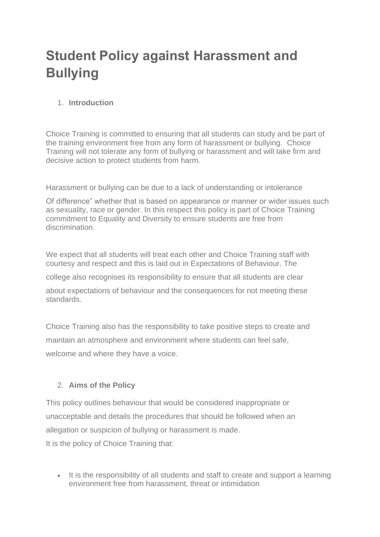# **Student Policy against Harassment and Bullying**

## 1. **Introduction**

Choice Training is committed to ensuring that all students can study and be part of the training environment free from any form of harassment or bullying. Choice Training will not tolerate any form of bullying or harassment and will take firm and decisive action to protect students from harm.

Harassment or bullying can be due to a lack of understanding or intolerance

Of difference" whether that is based on appearance or manner or wider issues such as sexuality, race or gender. In this respect this policy is part of Choice Training commitment to Equality and Diversity to ensure students are free from discrimination.

We expect that all students will treat each other and Choice Training staff with courtesy and respect and this is laid out in Expectations of Behaviour. The

college also recognises its responsibility to ensure that all students are clear

about expectations of behaviour and the consequences for not meeting these standards.

Choice Training also has the responsibility to take positive steps to create and maintain an atmosphere and environment where students can feel safe, welcome and where they have a voice.

## 2. **Aims of the Policy**

This policy outlines behaviour that would be considered inappropriate or unacceptable and details the procedures that should be followed when an allegation or suspicion of bullying or harassment is made. It is the policy of Choice Training that:

• It is the responsibility of all students and staff to create and support a learning environment free from harassment, threat or intimidation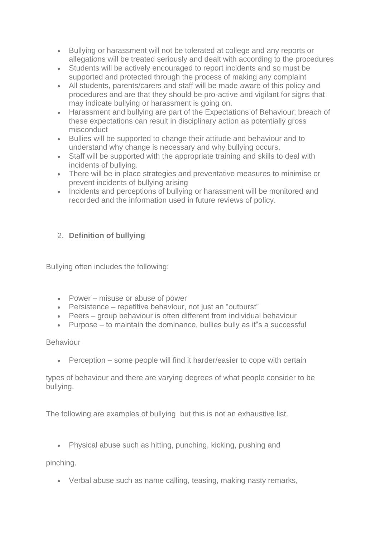- Bullying or harassment will not be tolerated at college and any reports or allegations will be treated seriously and dealt with according to the procedures
- Students will be actively encouraged to report incidents and so must be supported and protected through the process of making any complaint
- All students, parents/carers and staff will be made aware of this policy and procedures and are that they should be pro-active and vigilant for signs that may indicate bullying or harassment is going on.
- Harassment and bullying are part of the Expectations of Behaviour; breach of these expectations can result in disciplinary action as potentially gross misconduct
- Bullies will be supported to change their attitude and behaviour and to understand why change is necessary and why bullying occurs.
- Staff will be supported with the appropriate training and skills to deal with incidents of bullying.
- There will be in place strategies and preventative measures to minimise or prevent incidents of bullying arising
- Incidents and perceptions of bullying or harassment will be monitored and recorded and the information used in future reviews of policy.

# 2. **Definition of bullying**

Bullying often includes the following:

- Power misuse or abuse of power
- Persistence repetitive behaviour, not just an "outburst"
- Peers group behaviour is often different from individual behaviour
- Purpose to maintain the dominance, bullies bully as it s a successful

## Behaviour

• Perception – some people will find it harder/easier to cope with certain

types of behaviour and there are varying degrees of what people consider to be bullying.

The following are examples of bullying but this is not an exhaustive list.

• Physical abuse such as hitting, punching, kicking, pushing and

pinching.

• Verbal abuse such as name calling, teasing, making nasty remarks,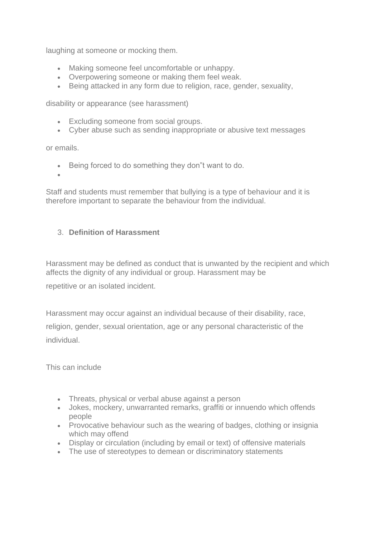laughing at someone or mocking them.

- Making someone feel uncomfortable or unhappy.
- Overpowering someone or making them feel weak.
- Being attacked in any form due to religion, race, gender, sexuality,

disability or appearance (see harassment)

- Excluding someone from social groups.
- Cyber abuse such as sending inappropriate or abusive text messages

or emails.

- Being forced to do something they don"t want to do.
- •

Staff and students must remember that bullying is a type of behaviour and it is therefore important to separate the behaviour from the individual.

## 3. **Definition of Harassment**

Harassment may be defined as conduct that is unwanted by the recipient and which affects the dignity of any individual or group. Harassment may be

repetitive or an isolated incident.

Harassment may occur against an individual because of their disability, race,

religion, gender, sexual orientation, age or any personal characteristic of the individual.

This can include

- Threats, physical or verbal abuse against a person
- Jokes, mockery, unwarranted remarks, graffiti or innuendo which offends people
- Provocative behaviour such as the wearing of badges, clothing or insignia which may offend
- Display or circulation (including by email or text) of offensive materials
- The use of stereotypes to demean or discriminatory statements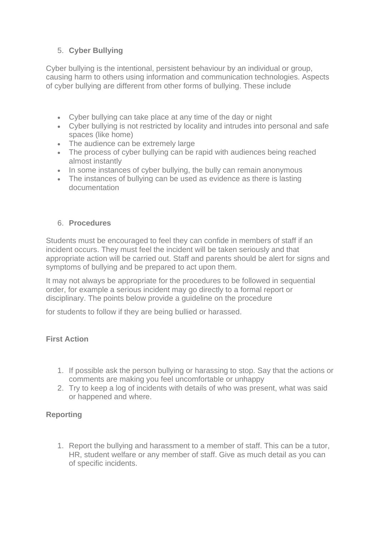# 5. **Cyber Bullying**

Cyber bullying is the intentional, persistent behaviour by an individual or group, causing harm to others using information and communication technologies. Aspects of cyber bullying are different from other forms of bullying. These include

- Cyber bullying can take place at any time of the day or night
- Cyber bullying is not restricted by locality and intrudes into personal and safe spaces (like home)
- The audience can be extremely large
- The process of cyber bullying can be rapid with audiences being reached almost instantly
- In some instances of cyber bullying, the bully can remain anonymous
- The instances of bullying can be used as evidence as there is lasting documentation

## 6. **Procedures**

Students must be encouraged to feel they can confide in members of staff if an incident occurs. They must feel the incident will be taken seriously and that appropriate action will be carried out. Staff and parents should be alert for signs and symptoms of bullying and be prepared to act upon them.

It may not always be appropriate for the procedures to be followed in sequential order, for example a serious incident may go directly to a formal report or disciplinary. The points below provide a guideline on the procedure

for students to follow if they are being bullied or harassed.

## **First Action**

- 1. If possible ask the person bullying or harassing to stop. Say that the actions or comments are making you feel uncomfortable or unhappy
- 2. Try to keep a log of incidents with details of who was present, what was said or happened and where.

# **Reporting**

1. Report the bullying and harassment to a member of staff. This can be a tutor, HR, student welfare or any member of staff. Give as much detail as you can of specific incidents.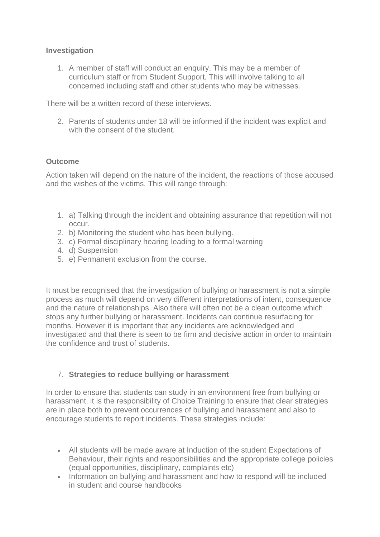#### **Investigation**

1. A member of staff will conduct an enquiry. This may be a member of curriculum staff or from Student Support. This will involve talking to all concerned including staff and other students who may be witnesses.

There will be a written record of these interviews.

2. Parents of students under 18 will be informed if the incident was explicit and with the consent of the student.

#### **Outcome**

Action taken will depend on the nature of the incident, the reactions of those accused and the wishes of the victims. This will range through:

- 1. a) Talking through the incident and obtaining assurance that repetition will not occur.
- 2. b) Monitoring the student who has been bullying.
- 3. c) Formal disciplinary hearing leading to a formal warning
- 4. d) Suspension
- 5. e) Permanent exclusion from the course.

It must be recognised that the investigation of bullying or harassment is not a simple process as much will depend on very different interpretations of intent, consequence and the nature of relationships. Also there will often not be a clean outcome which stops any further bullying or harassment. Incidents can continue resurfacing for months. However it is important that any incidents are acknowledged and investigated and that there is seen to be firm and decisive action in order to maintain the confidence and trust of students.

## 7. **Strategies to reduce bullying or harassment**

In order to ensure that students can study in an environment free from bullying or harassment, it is the responsibility of Choice Training to ensure that clear strategies are in place both to prevent occurrences of bullying and harassment and also to encourage students to report incidents. These strategies include:

- All students will be made aware at Induction of the student Expectations of Behaviour, their rights and responsibilities and the appropriate college policies (equal opportunities, disciplinary, complaints etc)
- Information on bullying and harassment and how to respond will be included in student and course handbooks